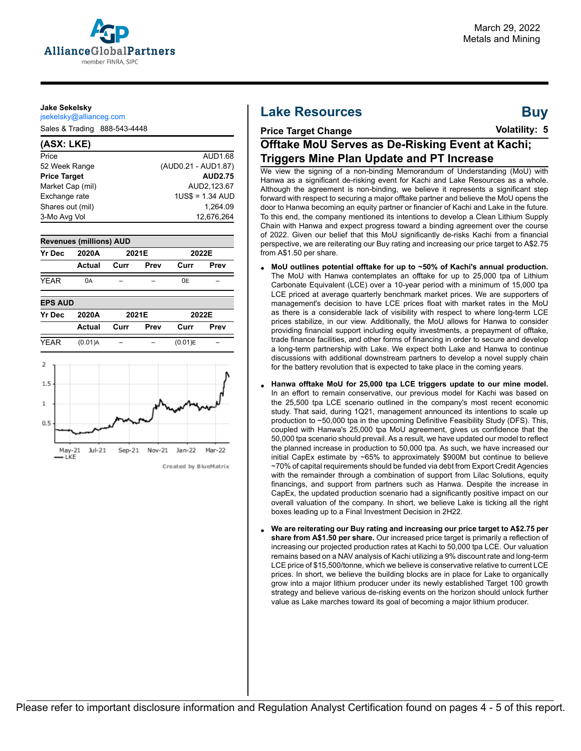

#### **Jake Sekelsky**

jsekelsky@allianceg.com

Sales & Trading 888-543-4448

#### **(ASX: LKE)** Price AUD1.68 52 Week Range (AUD0.21 - AUD1.87) **Price Target AUD2.75** Market Cap (mil) AUD2,123.67 Exchange rate 1US\$ = 1.34 AUD Shares out (mil) 1,264.09<br>3-Mo Avg Vol 12,676,264 3-Mo Avg Vol





#### Created by BlueMatrix

## **Lake Resources**

# **Buy**

## **Price Target Change**

**Volatility: 5**

## **Offtake MoU Serves as De-Risking Event at Kachi; Triggers Mine Plan Update and PT Increase**

We view the signing of a non-binding Memorandum of Understanding (MoU) with Hanwa as a significant de-risking event for Kachi and Lake Resources as a whole. Although the agreement is non-binding, we believe it represents a significant step forward with respect to securing a major offtake partner and believe the MoU opens the door to Hanwa becoming an equity partner or financier of Kachi and Lake in the future. To this end, the company mentioned its intentions to develop a Clean Lithium Supply Chain with Hanwa and expect progress toward a binding agreement over the course of 2022. Given our belief that this MoU significantly de-risks Kachi from a financial perspective, we are reiterating our Buy rating and increasing our price target to A\$2.75 from A\$1.50 per share.

- **MoU outlines potential offtake for up to ~50% of Kachi's annual production.** The MoU with Hanwa contemplates an offtake for up to 25,000 tpa of Lithium Carbonate Equivalent (LCE) over a 10-year period with a minimum of 15,000 tpa LCE priced at average quarterly benchmark market prices. We are supporters of management's decision to have LCE prices float with market rates in the MoU as there is a considerable lack of visibility with respect to where long-term LCE prices stabilize, in our view. Additionally, the MoU allows for Hanwa to consider providing financial support including equity investments, a prepayment of offtake, trade finance facilities, and other forms of financing in order to secure and develop a long-term partnership with Lake. We expect both Lake and Hanwa to continue discussions with additional downstream partners to develop a novel supply chain for the battery revolution that is expected to take place in the coming years.
- **Hanwa offtake MoU for 25,000 tpa LCE triggers update to our mine model.** In an effort to remain conservative, our previous model for Kachi was based on the 25,500 tpa LCE scenario outlined in the company's most recent economic study. That said, during 1Q21, management announced its intentions to scale up production to ~50,000 tpa in the upcoming Definitive Feasibility Study (DFS). This, coupled with Hanwa's 25,000 tpa MoU agreement, gives us confidence that the 50,000 tpa scenario should prevail. As a result, we have updated our model to reflect the planned increase in production to 50,000 tpa. As such, we have increased our initial CapEx estimate by ~65% to approximately \$900M but continue to believe ~70% of capital requirements should be funded via debt from Export Credit Agencies with the remainder through a combination of support from Lilac Solutions, equity financings, and support from partners such as Hanwa. Despite the increase in CapEx, the updated production scenario had a significantly positive impact on our overall valuation of the company. In short, we believe Lake is ticking all the right boxes leading up to a Final Investment Decision in 2H22.
- **We are reiterating our Buy rating and increasing our price target to A\$2.75 per share from A\$1.50 per share.** Our increased price target is primarily a reflection of increasing our projected production rates at Kachi to 50,000 tpa LCE. Our valuation remains based on a NAV analysis of Kachi utilizing a 9% discount rate and long-term LCE price of \$15,500/tonne, which we believe is conservative relative to current LCE prices. In short, we believe the building blocks are in place for Lake to organically grow into a major lithium producer under its newly established Target 100 growth strategy and believe various de-risking events on the horizon should unlock further value as Lake marches toward its goal of becoming a major lithium producer.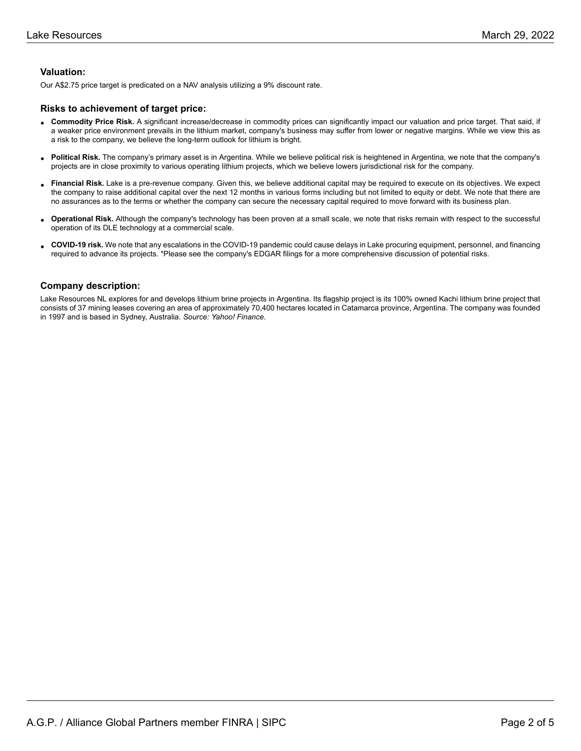#### **Valuation:**

Our A\$2.75 price target is predicated on a NAV analysis utilizing a 9% discount rate.

#### **Risks to achievement of target price:**

- **Commodity Price Risk.** A significant increase/decrease in commodity prices can significantly impact our valuation and price target. That said, if<br>a weaker arise environment proveils in the lithium market, company's hygine a weaker price environment prevails in the lithium market, company's business may suffer from lower or negative margins. While we view this as a risk to the company, we believe the long-term outlook for lithium is bright.
- **Political Risk.** The company's primary asset is in Argentina. While we believe political risk is heightened in Argentina, we note that the company's projects are in close proximity to various operating lithium projects, which we believe lowers jurisdictional risk for the company.
- **Financial Risk.** Lake is a pre-revenue company. Given this, we believe additional capital may be required to execute on its objectives. We expect is a pre-revenue company. Given this, we believe additional capital may be the company to raise additional capital over the next 12 months in various forms including but not limited to equity or debt. We note that there are no assurances as to the terms or whether the company can secure the necessary capital required to move forward with its business plan.
- **Operational Risk.** Although the company's technology has been proven at a small scale, we note that risks remain with respect to the successful operation of its DLE technology at a commercial scale.
- **COVID-19 risk.** We note that any escalations in the COVID-19 pandemic could cause delays in Lake procuring equipment, personnel, and financing required to advance its projects. \*Please see the company's EDGAR filings for a more comprehensive discussion of potential risks.

#### **Company description:**

Lake Resources NL explores for and develops lithium brine projects in Argentina. Its flagship project is its 100% owned Kachi lithium brine project that consists of 37 mining leases covering an area of approximately 70,400 hectares located in Catamarca province, Argentina. The company was founded in 1997 and is based in Sydney, Australia. *Source: Yahoo! Finance.*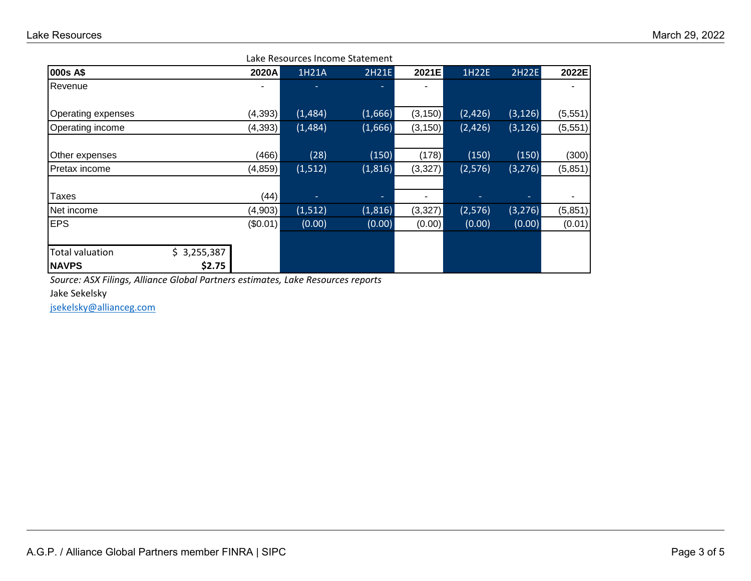| Lake Resources Income Statement |             |          |          |         |          |         |          |          |
|---------------------------------|-------------|----------|----------|---------|----------|---------|----------|----------|
| 000s A\$                        |             | 2020A    | 1H21A    | 2H21E   | 2021E    | 1H22E   | 2H22E    | 2022E    |
| Revenue                         |             |          |          |         | ۰        |         |          |          |
| Operating expenses              |             | (4, 393) | (1,484)  | (1,666) | (3, 150) | (2,426) | (3, 126) | (5, 551) |
| Operating income                |             | (4, 393) | (1,484)  | (1,666) | (3, 150) | (2,426) | (3, 126) | (5, 551) |
| Other expenses                  |             | (466)    | (28)     | (150)   | (178)    | (150)   | (150)    | (300)    |
| Pretax income                   |             | (4, 859) | (1, 512) | (1,816) | (3, 327) | (2,576) | (3, 276) | (5, 851) |
| Taxes                           |             | (44)     | ۰.       | ۰.      | ۰        |         |          |          |
| Net income                      |             | (4,903)  | (1, 512) | (1,816) | (3,327)  | (2,576) | (3, 276) | (5,851)  |
| <b>EPS</b>                      |             | (\$0.01) | (0.00)   | (0.00)  | (0.00)   | (0.00)  | (0.00)   | (0.01)   |
|                                 |             |          |          |         |          |         |          |          |
| Total valuation                 | \$3,255,387 |          |          |         |          |         |          |          |
| <b>NAVPS</b>                    | \$2.75      |          |          |         |          |         |          |          |

*Source: ASX Filings, Alliance Global Partners estimates, Lake Resources reports*

Jake Sekelsky

[jsekelsky@allianceg.com](mailto:jsekelsky@allianceg.com)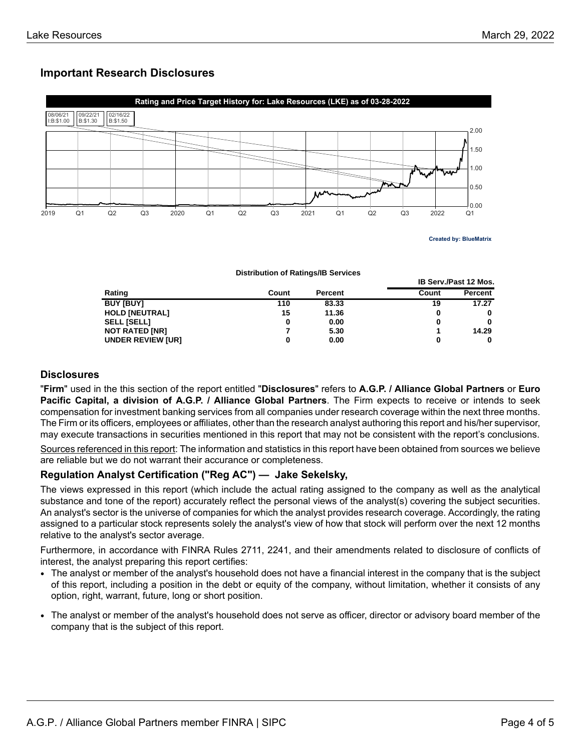**IB Serv./Past 12 Mos.**

## **Important Research Disclosures**



**Distribution of Ratings/IB Services**

|                          |       |                | .     |         |  |
|--------------------------|-------|----------------|-------|---------|--|
| Rating                   | Count | <b>Percent</b> | Count | Percent |  |
| <b>BUY [BUY]</b>         | 110   | 83.33          | 19    | 17.27   |  |
| <b>HOLD [NEUTRAL]</b>    | 15    | 11.36          | 0     | 0       |  |
| <b>SELL [SELL]</b>       |       | 0.00           | 0     | 0       |  |
| <b>NOT RATED [NR]</b>    |       | 5.30           |       | 14.29   |  |
| <b>UNDER REVIEW [UR]</b> |       | 0.00           | 0     | 0       |  |

### **Disclosures**

"**Firm**" used in the this section of the report entitled "**Disclosures**" refers to **A.G.P. / Alliance Global Partners** or **Euro Pacific Capital, a division of A.G.P. / Alliance Global Partners**. The Firm expects to receive or intends to seek compensation for investment banking services from all companies under research coverage within the next three months. The Firm or its officers, employees or affiliates, other than the research analyst authoring this report and his/her supervisor, may execute transactions in securities mentioned in this report that may not be consistent with the report's conclusions.

Sources referenced in this report: The information and statistics in this report have been obtained from sources we believe are reliable but we do not warrant their accurance or completeness.

## **Regulation Analyst Certification ("Reg AC") — Jake Sekelsky,**

The views expressed in this report (which include the actual rating assigned to the company as well as the analytical substance and tone of the report) accurately reflect the personal views of the analyst(s) covering the subject securities. An analyst's sector is the universe of companies for which the analyst provides research coverage. Accordingly, the rating assigned to a particular stock represents solely the analyst's view of how that stock will perform over the next 12 months relative to the analyst's sector average.

Furthermore, in accordance with FINRA Rules 2711, 2241, and their amendments related to disclosure of conflicts of interest, the analyst preparing this report certifies:

- The analyst or member of the analyst's household does not have a financial interest in the company that is the subject of this report, including a position in the debt or equity of the company, without limitation, whether it consists of any option, right, warrant, future, long or short position.
- The analyst or member of the analyst's household does not serve as officer, director or advisory board member of the company that is the subject of this report.